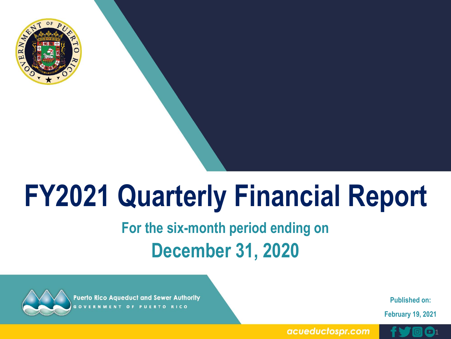

# **FY2021 Quarterly Financial Report**

## **For the six-month period ending on December 31, 2020**



**Puerto Rico Aqueduct and Sewer Authority ERNMENT OF PUERTO RICO** 

**Published on:** 

**February 19, 2021**

acueductospr.com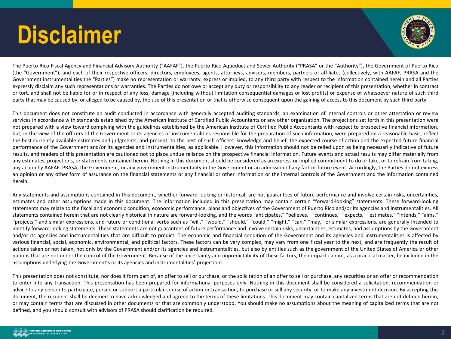# **Disclaimer**



The Puerto Rico Fiscal Agency and Financial Advisory Authority ("AAFAF"), the Puerto Rico Aqueduct and Sewer Authority ("PRASA" or the "Authority"), the Government of Puerto Rico (the "Government"), and each of their respective officers, directors, employees, agents, attorneys, advisors, members, partners or affiliates (collectively, with AAFAF, PRASA and the Government instrumentalities the "Parties") make no representation or warranty, express or implied, to any third party with respect to the information contained herein and all Parties expressly disclaim any such representations or warranties. The Parties do not owe or accept any duty or responsibility to any reader or recipient of this presentation, whether in contract or tort, and shall not be liable for or in respect of any loss, damage (including without limitation consequential damages or lost profits) or expense of whatsoever nature of such third party that may be caused by, or alleged to be caused by, the use of this presentation or that is otherwise consequent upon the gaining of access to this document by such third party.

This document does not constitute an audit conducted in accordance with generally accepted auditing standards, an examination of internal controls or other attestation or review services in accordance with standards established by the American Institute of Certified Public Accountants or any other organization. The projections set forth in this presentation were not prepared with a view toward complying with the guidelines established by the American Institute of Certified Public Accountants with respect to prospective financial information, but, in the view of the officers of the Government or its agencies or instrumentalities responsible for the preparation of such information, were prepared on a reasonable basis, reflect the best currently available estimates and judgments, and present, to the best of such officers' knowledge and belief, the expected course of action and the expected future financial performance of the Government and/or its agencies and instrumentalities, as applicable. However, this information should not be relied upon as being necessarily indicative of future results, and readers of this presentation are cautioned not to place undue reliance on the prospective financial information. Future events and actual results may differ materially from any estimates, projections, or statements contained herein. Nothing in this document should be considered as an express or implied commitment to do or take, or to refrain from taking, any action by AAFAF, PRASA, the Government, or any government instrumentality in the Government or an admission of any fact or future event. Accordingly, the Parties do not express an opinion or any other form of assurance on the financial statements or any financial or other information or the internal controls of the Government and the information contained herein.

Any statements and assumptions contained in this document, whether forward-looking or historical, are not guarantees of future performance and involve certain risks, uncertainties, estimates and other assumptions made in this document. The information included in this presentation may contain certain "forward-looking" statements. These forward-looking statements may relate to the fiscal and economic condition, economic performance, plans and objectives of the Government of Puerto Rico and/or its agencies and instrumentalities. All statements contained herein that are not clearly historical in nature are forward-looking, and the words "anticipates," "believes," "continues," "expects," "estimates," "intends," "aims," "projects," and similar expressions, and future or conditional verbs such as "will," "would," "should," "could," "might," "can," "may," or similar expressions, are generally intended to identify forward-looking statements. These statements are not guarantees of future performance and involve certain risks, uncertainties, estimates, and assumptions by the Government and/or its agencies and instrumentalities that are difficult to predict. The economic and financial condition of the Government and its agencies and instrumentalities is affected by various financial, social, economic, environmental, and political factors. These factors can be very complex, may vary from one fiscal year to the next, and are frequently the result of actions taken or not taken, not only by the Government and/or its agencies and instrumentalities, but also by entities such as the government of the United States of America or other nations that are not under the control of the Government. Because of the uncertainty and unpredictability of these factors, their impact cannot, as a practical matter, be included in the assumptions underlying the Government's or its agencies and instrumentalities' projections.

This presentation does not constitute, nor does it form part of, an offer to sell or purchase, or the solicitation of an offer to sell or purchase, any securities or an offer or recommendation to enter into any transaction. This presentation has been prepared for informational purposes only. Nothing in this document shall be considered a solicitation, recommendation or advice to any person to participate, pursue or support a particular course of action or transaction, to purchase or sell any security, or to make any investment decision. By accepting this document, the recipient shall be deemed to have acknowledged and agreed to the terms of these limitations. This document may contain capitalized terms that are not defined herein, or may contain terms that are discussed in other documents or that are commonly understood. You should make no assumptions about the meaning of capitalized terms that are not defined, and you should consult with advisors of PRASA should clarification be required.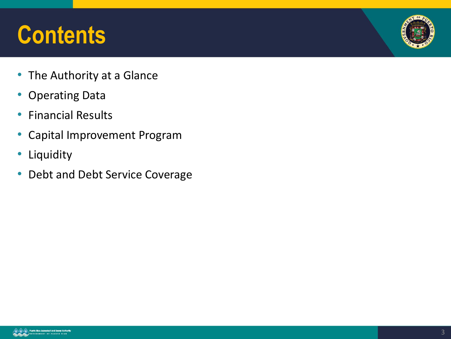# **Contents**



- The Authority at a Glance
- Operating Data
- Financial Results
- Capital Improvement Program
- Liquidity
- Debt and Debt Service Coverage

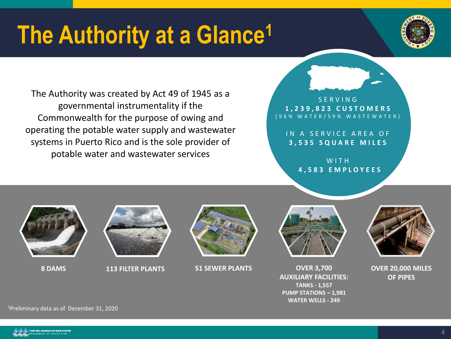# **The Authority at a Glance<sup>1</sup>**



The Authority was created by Act 49 of 1945 as a governmental instrumentality if the Commonwealth for the purpose of owing and operating the potable water supply and wastewater systems in Puerto Rico and is the sole provider of potable water and wastewater services

### S E R V I N G **1 , 2 3 9 , 8 2 3 C U S T O M E R S** ( 9 6 % W A T E R / 5 9 % W A S T E W A T E R )

IN A SERVICE AREA OF **3 , 5 3 5 S Q U A R E M I L E S**

> W I T H **4 , 5 8 3 E M P L O Y E E S**





**8 DAMS 113 FILTER PLANTS 51 SEWER PLANTS OVER 3,700**





**AUXILIARY FACILITIES: TANKS - 1,557 PUMP STATIONS – 1,981 WATER WELLS - 249**



**OVER 20,000 MILES OF PIPES**

<sup>1</sup>Preliminary data as of December 31, 2020

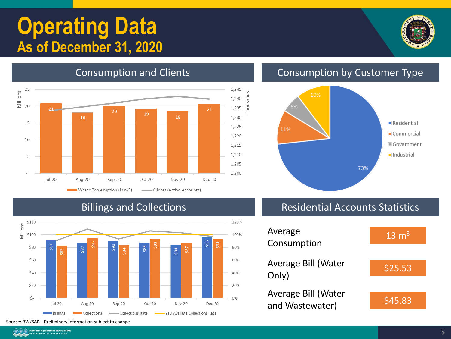## **Operating Data As of December 31, 2020**





### Consumption and Clients Consumption by Customer Type



### Billings and Collections



Residential Accounts Statistics

| Average<br>Consumption                 | $13 \text{ m}^3$ |
|----------------------------------------|------------------|
| Average Bill (Water<br>Only)           | \$25.53          |
| Average Bill (Water<br>and Wastewater) | 545.83           |

Source: BW/SAP – Preliminary information subject to change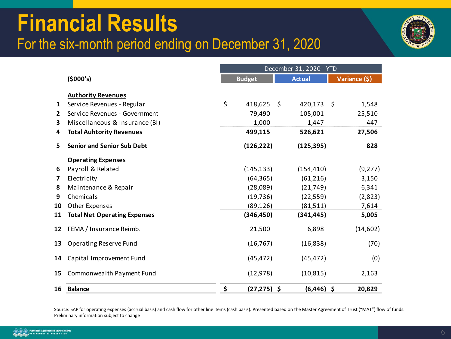## **Financial Results** For the six-month period ending on December 31, 2020



|              |                                     | December 31, 2020 - YTD |                |    |               |    |               |
|--------------|-------------------------------------|-------------------------|----------------|----|---------------|----|---------------|
|              | (5000's)                            |                         | <b>Budget</b>  |    | <b>Actual</b> |    | Variance (\$) |
|              |                                     |                         |                |    |               |    |               |
| 1            | <b>Authority Revenues</b>           | \$                      | 418,625        | \$ | 420,173       | \$ |               |
|              | Service Revenues - Regular          |                         |                |    |               |    | 1,548         |
| $\mathbf{2}$ | Service Revenues - Government       |                         | 79,490         |    | 105,001       |    | 25,510        |
| 3            | Miscellaneous & Insurance (BI)      |                         | 1,000          |    | 1,447         |    | 447           |
| 4            | <b>Total Auhtority Revenues</b>     |                         | 499,115        |    | 526,621       |    | 27,506        |
| 5            | <b>Senior and Senior Sub Debt</b>   |                         | (126, 222)     |    | (125, 395)    |    | 828           |
|              | <b>Operating Expenses</b>           |                         |                |    |               |    |               |
| 6            | Payroll & Related                   |                         | (145, 133)     |    | (154, 410)    |    | (9, 277)      |
| 7            | Electricity                         |                         | (64, 365)      |    | (61, 216)     |    | 3,150         |
| 8            | Maintenance & Repair                |                         | (28,089)       |    | (21, 749)     |    | 6,341         |
| 9            | Chemicals                           |                         | (19, 736)      |    | (22, 559)     |    | (2,823)       |
| 10           | Other Expenses                      |                         | (89, 126)      |    | (81, 511)     |    | 7,614         |
| 11           | <b>Total Net Operating Expenses</b> |                         | (346, 450)     |    | (341, 445)    |    | 5,005         |
| 12           | FEMA / Insurance Reimb.             |                         | 21,500         |    | 6,898         |    | (14,602)      |
| 13           | Operating Reserve Fund              |                         | (16, 767)      |    | (16, 838)     |    | (70)          |
| 14           | Capital Improvement Fund            |                         | (45, 472)      |    | (45, 472)     |    | (0)           |
| 15           | Commonwealth Payment Fund           |                         | (12, 978)      |    | (10, 815)     |    | 2,163         |
| 16           | <b>Balance</b>                      | \$                      | $(27, 275)$ \$ |    | (6,446)       | \$ | 20,829        |

Source: SAP for operating expenses (accrual basis) and cash flow for other line items (cash basis). Presented based on the Master Agreement of Trust ("MAT") flow of funds. Preliminary information subject to change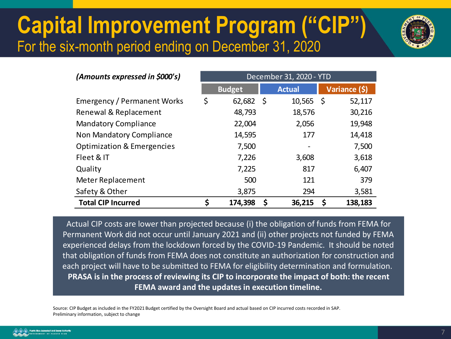## **Capital Improvement Program ("CIP")** For the six-month period ending on December 31, 2020



| (Amounts expressed in \$000's)        | December 31, 2020 - YTD |               |               |  |  |
|---------------------------------------|-------------------------|---------------|---------------|--|--|
|                                       | <b>Budget</b>           | <b>Actual</b> | Variance (\$) |  |  |
| <b>Emergency / Permanent Works</b>    | \$<br>62,682            | \$<br>10,565  | 52,117<br>\$. |  |  |
| Renewal & Replacement                 | 48,793                  | 18,576        | 30,216        |  |  |
| <b>Mandatory Compliance</b>           | 22,004                  | 2,056         | 19,948        |  |  |
| Non Mandatory Compliance              | 14,595                  | 177           | 14,418        |  |  |
| <b>Optimization &amp; Emergencies</b> | 7,500                   |               | 7,500         |  |  |
| Fleet & IT                            | 7,226                   | 3,608         | 3,618         |  |  |
| Quality                               | 7,225                   | 817           | 6,407         |  |  |
| Meter Replacement                     | 500                     | 121           | 379           |  |  |
| Safety & Other                        | 3,875                   | 294           | 3,581         |  |  |
| <b>Total CIP Incurred</b>             | 174,398                 | 36,215<br>S   | 138,183<br>S  |  |  |

Actual CIP costs are lower than projected because (i) the obligation of funds from FEMA for Permanent Work did not occur until January 2021 and (ii) other projects not funded by FEMA experienced delays from the lockdown forced by the COVID-19 Pandemic. It should be noted that obligation of funds from FEMA does not constitute an authorization for construction and each project will have to be submitted to FEMA for eligibility determination and formulation. **PRASA is in the process of reviewing its CIP to incorporate the impact of both: the recent FEMA award and the updates in execution timeline.**

Source: CIP Budget as included in the FY2021 Budget certified by the Oversight Board and actual based on CIP incurred costs recorded in SAP. Preliminary information, subject to change

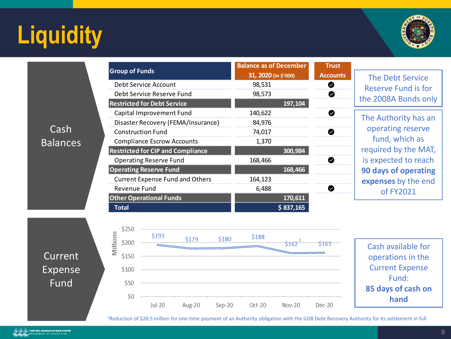# **Liquidity**



Cash Balances

|         | <b>Trust</b>    |                                                       |
|---------|-----------------|-------------------------------------------------------|
|         | <b>Accounts</b> |                                                       |
| 98,531  |                 |                                                       |
| 98,573  |                 | $\boldsymbol{\vartriangledown}$                       |
|         | 197,104         |                                                       |
| 140,622 |                 | Ø                                                     |
| 84,976  |                 |                                                       |
| 74,017  |                 |                                                       |
| 1,370   |                 |                                                       |
|         | 300,984         |                                                       |
| 168,466 |                 | Ω                                                     |
|         | 168,466         |                                                       |
| 164,123 |                 |                                                       |
| 6,488   |                 |                                                       |
|         | 170,611         |                                                       |
|         | \$837,165       |                                                       |
|         |                 | <b>Balance as of December</b><br>31, 2020 (in \$'000) |

The Debt Service Reserve Fund is for the 2008A Bonds only

The Authority has an operating reserve fund, which as required by the MAT, is expected to reach **90 days of operating expenses** by the end of FY2021





Cash available for operations in the Current Expense Fund: **85 days of cash on hand**

<sup>1</sup>Reduction of \$20.5 million for one-time payment of an Authority obligation with the GDB Debt Recovery Authority for its settlement in full

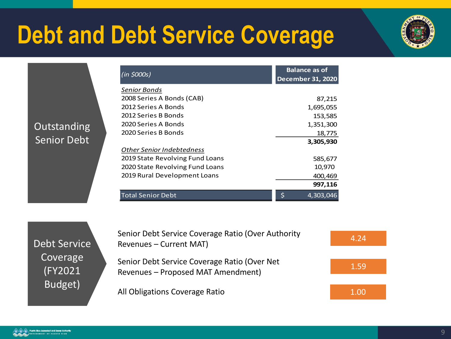# **Debt and Debt Service Coverage**



| $(in \, \text{\textless}\, 000s)$ | <b>Balance as of</b><br><b>December 31, 2020</b> |
|-----------------------------------|--------------------------------------------------|
| Senior Bonds                      |                                                  |
| 2008 Series A Bonds (CAB)         | 87,215                                           |
| 2012 Series A Bonds               | 1,695,055                                        |
| 2012 Series B Bonds               | 153,585                                          |
| 2020 Series A Bonds               | 1,351,300                                        |
| 2020 Series B Bonds               | 18,775                                           |
|                                   | 3,305,930                                        |
| <b>Other Senior Indebtedness</b>  |                                                  |
| 2019 State Revolving Fund Loans   | 585,677                                          |
| 2020 State Revolving Fund Loans   | 10,970                                           |
| 2019 Rural Development Loans      | 400,469                                          |
|                                   | 997,116                                          |
| <b>Total Senior Debt</b>          | 4,303,046                                        |

Debt Service Coverage (FY2021 Budget)

Outstanding

Senior Debt

Senior Debt Service Coverage Ratio (Over Authority Senior Debt Service Coverage Ratio (Over Adthority 4.24 1.59 Senior Debt Service Coverage Ratio (Over Net Revenues – Proposed MAT Amendment)

All Obligations Coverage Ratio